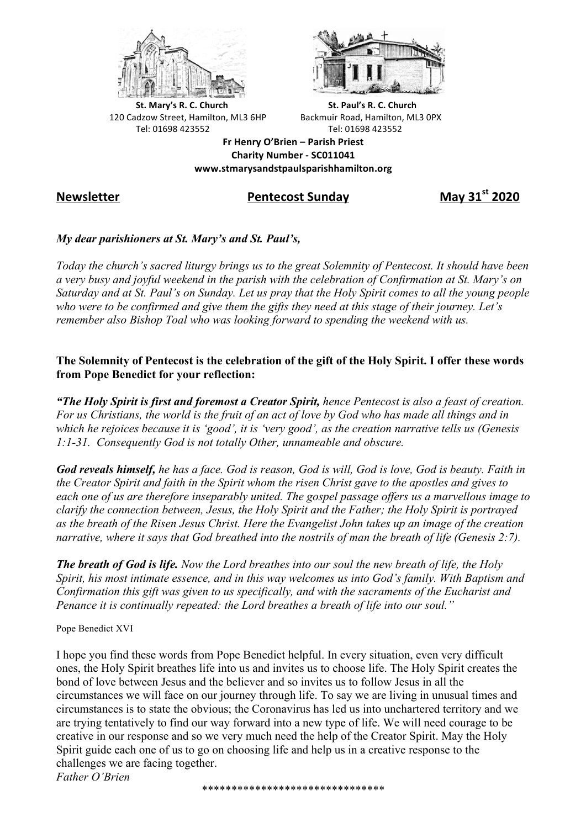



**St.** Mary's R. C. Church St. Paul's R. C. Church 120 Cadzow Street, Hamilton, ML3 6HP Backmuir Road, Hamilton, ML3 0PX Tel: 01698 423552 Tel: 01698 423552

**Fr Henry O'Brien – Parish Priest Charity Number - SC011041 www.stmarysandstpaulsparishhamilton.org**

# **Newsletter Pentecost Sunday May 31st 2020**

### *My dear parishioners at St. Mary's and St. Paul's,*

*Today the church's sacred liturgy brings us to the great Solemnity of Pentecost. It should have been a very busy and joyful weekend in the parish with the celebration of Confirmation at St. Mary's on Saturday and at St. Paul's on Sunday. Let us pray that the Holy Spirit comes to all the young people who were to be confirmed and give them the gifts they need at this stage of their journey. Let's remember also Bishop Toal who was looking forward to spending the weekend with us.*

### **The Solemnity of Pentecost is the celebration of the gift of the Holy Spirit. I offer these words from Pope Benedict for your reflection:**

*"The Holy Spirit is first and foremost a Creator Spirit, hence Pentecost is also a feast of creation. For us Christians, the world is the fruit of an act of love by God who has made all things and in which he rejoices because it is 'good', it is 'very good', as the creation narrative tells us (Genesis 1:1-31. Consequently God is not totally Other, unnameable and obscure.*

*God reveals himself, he has a face. God is reason, God is will, God is love, God is beauty. Faith in the Creator Spirit and faith in the Spirit whom the risen Christ gave to the apostles and gives to each one of us are therefore inseparably united. The gospel passage offers us a marvellous image to clarify the connection between, Jesus, the Holy Spirit and the Father; the Holy Spirit is portrayed as the breath of the Risen Jesus Christ. Here the Evangelist John takes up an image of the creation narrative, where it says that God breathed into the nostrils of man the breath of life (Genesis 2:7).* 

*The breath of God is life. Now the Lord breathes into our soul the new breath of life, the Holy Spirit, his most intimate essence, and in this way welcomes us into God's family. With Baptism and Confirmation this gift was given to us specifically, and with the sacraments of the Eucharist and Penance it is continually repeated: the Lord breathes a breath of life into our soul."*

Pope Benedict XVI

I hope you find these words from Pope Benedict helpful. In every situation, even very difficult ones, the Holy Spirit breathes life into us and invites us to choose life. The Holy Spirit creates the bond of love between Jesus and the believer and so invites us to follow Jesus in all the circumstances we will face on our journey through life. To say we are living in unusual times and circumstances is to state the obvious; the Coronavirus has led us into unchartered territory and we are trying tentatively to find our way forward into a new type of life. We will need courage to be creative in our response and so we very much need the help of the Creator Spirit. May the Holy Spirit guide each one of us to go on choosing life and help us in a creative response to the challenges we are facing together.

*Father O'Brien*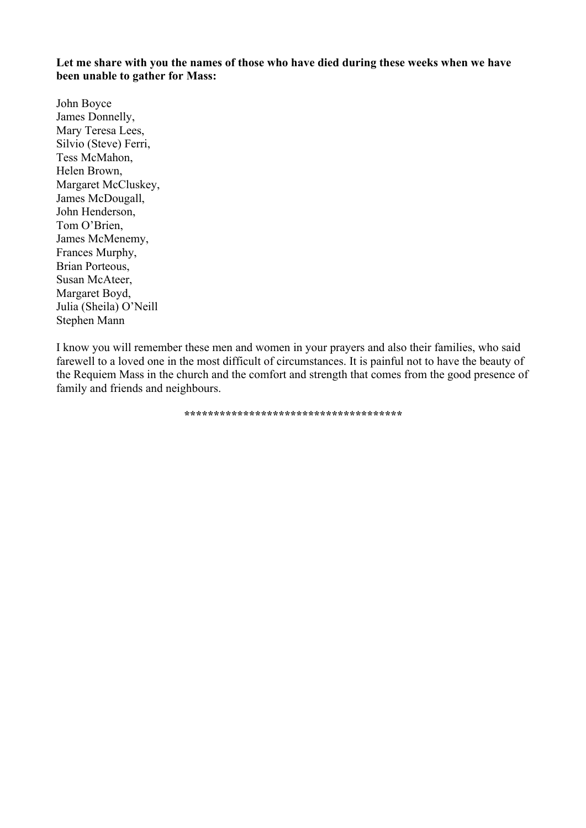**Let me share with you the names of those who have died during these weeks when we have been unable to gather for Mass:**

John Boyce James Donnelly, Mary Teresa Lees, Silvio (Steve) Ferri, Tess McMahon, Helen Brown, Margaret McCluskey, James McDougall, John Henderson, Tom O'Brien, James McMenemy, Frances Murphy, Brian Porteous, Susan McAteer, Margaret Boyd, Julia (Sheila) O'Neill Stephen Mann

I know you will remember these men and women in your prayers and also their families, who said farewell to a loved one in the most difficult of circumstances. It is painful not to have the beauty of the Requiem Mass in the church and the comfort and strength that comes from the good presence of family and friends and neighbours.

**\*\*\*\*\*\*\*\*\*\*\*\*\*\*\*\*\*\*\*\*\*\*\*\*\*\*\*\*\*\*\*\*\*\*\*\*\***